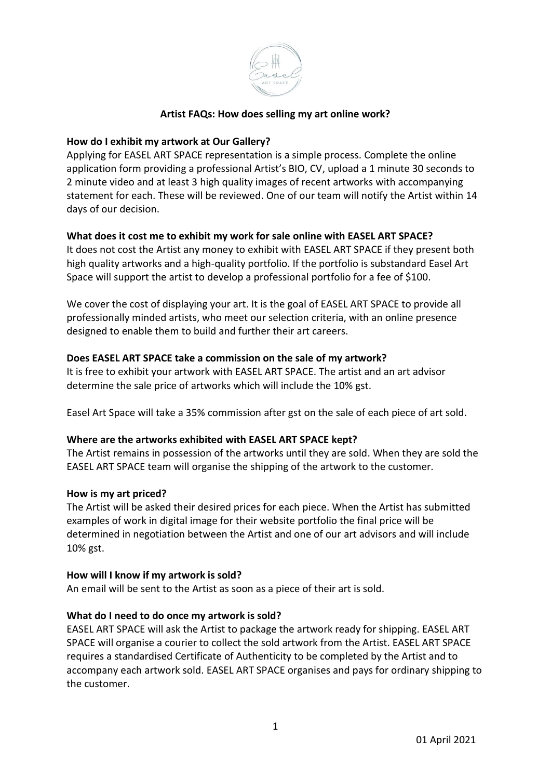

## **Artist FAQs: How does selling my art online work?**

## **How do I exhibit my artwork at Our Gallery?**

Applying for EASEL ART SPACE representation is a simple process. Complete the online application form providing a professional Artist's BIO, CV, upload a 1 minute 30 seconds to 2 minute video and at least 3 high quality images of recent artworks with accompanying statement for each. These will be reviewed. One of our team will notify the Artist within 14 days of our decision.

## **What does it cost me to exhibit my work for sale online with EASEL ART SPACE?**

It does not cost the Artist any money to exhibit with EASEL ART SPACE if they present both high quality artworks and a high-quality portfolio. If the portfolio is substandard Easel Art Space will support the artist to develop a professional portfolio for a fee of \$100.

We cover the cost of displaying your art. It is the goal of EASEL ART SPACE to provide all professionally minded artists, who meet our selection criteria, with an online presence designed to enable them to build and further their art careers.

#### **Does EASEL ART SPACE take a commission on the sale of my artwork?**

It is free to exhibit your artwork with EASEL ART SPACE. The artist and an art advisor determine the sale price of artworks which will include the 10% gst.

Easel Art Space will take a 35% commission after gst on the sale of each piece of art sold.

#### **Where are the artworks exhibited with EASEL ART SPACE kept?**

The Artist remains in possession of the artworks until they are sold. When they are sold the EASEL ART SPACE team will organise the shipping of the artwork to the customer.

#### **How is my art priced?**

The Artist will be asked their desired prices for each piece. When the Artist has submitted examples of work in digital image for their website portfolio the final price will be determined in negotiation between the Artist and one of our art advisors and will include 10% gst.

#### **How will I know if my artwork is sold?**

An email will be sent to the Artist as soon as a piece of their art is sold.

# **What do I need to do once my artwork is sold?**

EASEL ART SPACE will ask the Artist to package the artwork ready for shipping. EASEL ART SPACE will organise a courier to collect the sold artwork from the Artist. EASEL ART SPACE requires a standardised Certificate of Authenticity to be completed by the Artist and to accompany each artwork sold. EASEL ART SPACE organises and pays for ordinary shipping to the customer.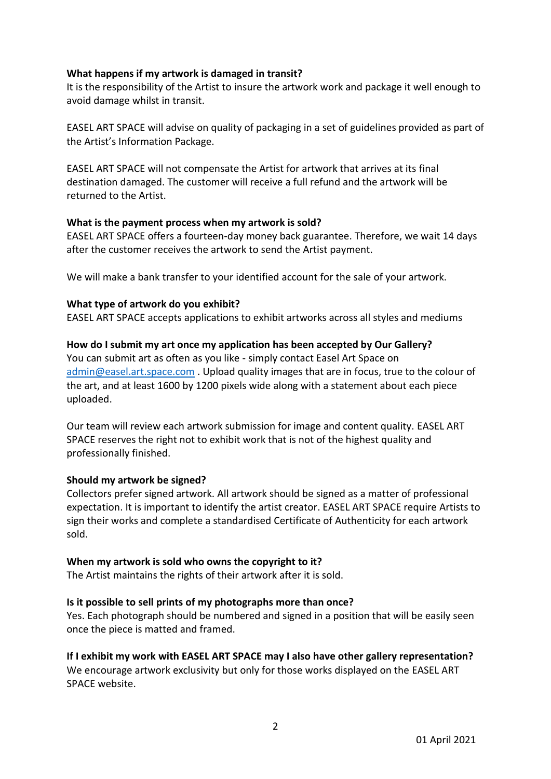### **What happens if my artwork is damaged in transit?**

It is the responsibility of the Artist to insure the artwork work and package it well enough to avoid damage whilst in transit.

EASEL ART SPACE will advise on quality of packaging in a set of guidelines provided as part of the Artist's Information Package.

EASEL ART SPACE will not compensate the Artist for artwork that arrives at its final destination damaged. The customer will receive a full refund and the artwork will be returned to the Artist.

## **What is the payment process when my artwork is sold?**

EASEL ART SPACE offers a fourteen-day money back guarantee. Therefore, we wait 14 days after the customer receives the artwork to send the Artist payment.

We will make a bank transfer to your identified account for the sale of your artwork.

## **What type of artwork do you exhibit?**

EASEL ART SPACE accepts applications to exhibit artworks across all styles and mediums

#### **How do I submit my art once my application has been accepted by Our Gallery?**

You can submit art as often as you like - simply contact Easel Art Space on [admin@easel.art.space.com](mailto:admin@easel.art.space.com) . Upload quality images that are in focus, true to the colour of the art, and at least 1600 by 1200 pixels wide along with a statement about each piece uploaded.

Our team will review each artwork submission for image and content quality. EASEL ART SPACE reserves the right not to exhibit work that is not of the highest quality and professionally finished.

# **Should my artwork be signed?**

Collectors prefer signed artwork. All artwork should be signed as a matter of professional expectation. It is important to identify the artist creator. EASEL ART SPACE require Artists to sign their works and complete a standardised Certificate of Authenticity for each artwork sold.

#### **When my artwork is sold who owns the copyright to it?**

The Artist maintains the rights of their artwork after it is sold.

# **Is it possible to sell prints of my photographs more than once?**

Yes. Each photograph should be numbered and signed in a position that will be easily seen once the piece is matted and framed.

# **If I exhibit my work with EASEL ART SPACE may I also have other gallery representation?**

We encourage artwork exclusivity but only for those works displayed on the EASEL ART SPACE website.